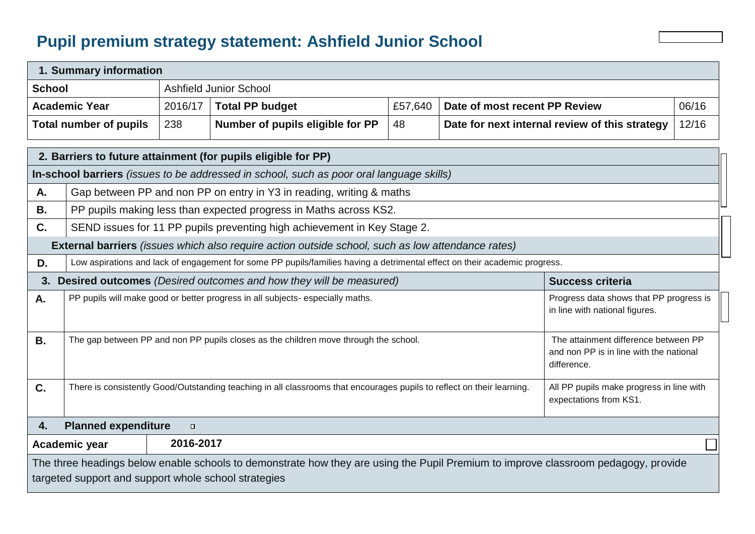## **Pupil premium strategy statement: Ashfield Junior School**

|                                                               | 1. Summary information                                                                                                                                                                       |                                                                   |                                                                                                          |         |                               |                                                |       |  |
|---------------------------------------------------------------|----------------------------------------------------------------------------------------------------------------------------------------------------------------------------------------------|-------------------------------------------------------------------|----------------------------------------------------------------------------------------------------------|---------|-------------------------------|------------------------------------------------|-------|--|
| <b>School</b>                                                 |                                                                                                                                                                                              |                                                                   | <b>Ashfield Junior School</b>                                                                            |         |                               |                                                |       |  |
|                                                               | <b>Academic Year</b>                                                                                                                                                                         | 2016/17                                                           | <b>Total PP budget</b>                                                                                   | £57,640 | Date of most recent PP Review |                                                | 06/16 |  |
|                                                               | <b>Total number of pupils</b>                                                                                                                                                                | 238                                                               | Number of pupils eligible for PP                                                                         | 48      |                               | Date for next internal review of this strategy | 12/16 |  |
| 2. Barriers to future attainment (for pupils eligible for PP) |                                                                                                                                                                                              |                                                                   |                                                                                                          |         |                               |                                                |       |  |
|                                                               |                                                                                                                                                                                              |                                                                   | In-school barriers <i>(issues to be addressed in school, such as poor oral language skills)</i>          |         |                               |                                                |       |  |
| A.                                                            | Gap between PP and non PP on entry in Y3 in reading, writing & maths                                                                                                                         |                                                                   |                                                                                                          |         |                               |                                                |       |  |
| <b>B.</b>                                                     |                                                                                                                                                                                              | PP pupils making less than expected progress in Maths across KS2. |                                                                                                          |         |                               |                                                |       |  |
| C.                                                            |                                                                                                                                                                                              |                                                                   | SEND issues for 11 PP pupils preventing high achievement in Key Stage 2.                                 |         |                               |                                                |       |  |
|                                                               |                                                                                                                                                                                              |                                                                   | <b>External barriers</b> (issues which also require action outside school, such as low attendance rates) |         |                               |                                                |       |  |
| D.                                                            | Low aspirations and lack of engagement for some PP pupils/families having a detrimental effect on their academic progress.                                                                   |                                                                   |                                                                                                          |         |                               |                                                |       |  |
| 3.                                                            |                                                                                                                                                                                              |                                                                   | Desired outcomes (Desired outcomes and how they will be measured)                                        |         |                               | <b>Success criteria</b>                        |       |  |
| А.                                                            | PP pupils will make good or better progress in all subjects- especially maths.<br>Progress data shows that PP progress is<br>in line with national figures.                                  |                                                                   |                                                                                                          |         |                               |                                                |       |  |
| <b>B.</b>                                                     | The attainment difference between PP<br>The gap between PP and non PP pupils closes as the children move through the school.<br>and non PP is in line with the national<br>difference.       |                                                                   |                                                                                                          |         |                               |                                                |       |  |
| C.                                                            | There is consistently Good/Outstanding teaching in all classrooms that encourages pupils to reflect on their learning.<br>All PP pupils make progress in line with<br>expectations from KS1. |                                                                   |                                                                                                          |         |                               |                                                |       |  |
| <b>Planned expenditure</b><br>4.<br>$\Box$                    |                                                                                                                                                                                              |                                                                   |                                                                                                          |         |                               |                                                |       |  |
| 2016-2017<br>Academic year                                    |                                                                                                                                                                                              |                                                                   |                                                                                                          |         |                               |                                                |       |  |

.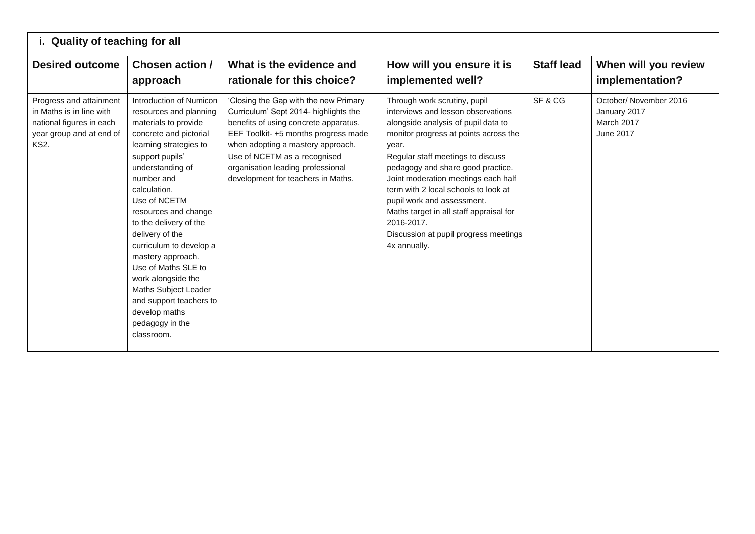| i. Quality of teaching for all                                                                                             |                                                                                                                                                                                                                                                                                                                                                                                                                                                                                           |                                                                                                                                                                                                                                                                                                                |                                                                                                                                                                                                                                                                                                                                                                                                                                                                      |                   |                                                                         |
|----------------------------------------------------------------------------------------------------------------------------|-------------------------------------------------------------------------------------------------------------------------------------------------------------------------------------------------------------------------------------------------------------------------------------------------------------------------------------------------------------------------------------------------------------------------------------------------------------------------------------------|----------------------------------------------------------------------------------------------------------------------------------------------------------------------------------------------------------------------------------------------------------------------------------------------------------------|----------------------------------------------------------------------------------------------------------------------------------------------------------------------------------------------------------------------------------------------------------------------------------------------------------------------------------------------------------------------------------------------------------------------------------------------------------------------|-------------------|-------------------------------------------------------------------------|
| <b>Desired outcome</b>                                                                                                     | Chosen action /<br>approach                                                                                                                                                                                                                                                                                                                                                                                                                                                               | What is the evidence and<br>rationale for this choice?                                                                                                                                                                                                                                                         | How will you ensure it is<br>implemented well?                                                                                                                                                                                                                                                                                                                                                                                                                       | <b>Staff lead</b> | When will you review<br>implementation?                                 |
| Progress and attainment<br>in Maths is in line with<br>national figures in each<br>year group and at end of<br><b>KS2.</b> | Introduction of Numicon<br>resources and planning<br>materials to provide<br>concrete and pictorial<br>learning strategies to<br>support pupils'<br>understanding of<br>number and<br>calculation.<br>Use of NCETM<br>resources and change<br>to the delivery of the<br>delivery of the<br>curriculum to develop a<br>mastery approach.<br>Use of Maths SLE to<br>work alongside the<br>Maths Subject Leader<br>and support teachers to<br>develop maths<br>pedagogy in the<br>classroom. | 'Closing the Gap with the new Primary<br>Curriculum' Sept 2014- highlights the<br>benefits of using concrete apparatus.<br>EEF Toolkit-+5 months progress made<br>when adopting a mastery approach.<br>Use of NCETM as a recognised<br>organisation leading professional<br>development for teachers in Maths. | Through work scrutiny, pupil<br>interviews and lesson observations<br>alongside analysis of pupil data to<br>monitor progress at points across the<br>year.<br>Regular staff meetings to discuss<br>pedagogy and share good practice.<br>Joint moderation meetings each half<br>term with 2 local schools to look at<br>pupil work and assessment.<br>Maths target in all staff appraisal for<br>2016-2017.<br>Discussion at pupil progress meetings<br>4x annually. | SF&CG             | October/November 2016<br>January 2017<br>March 2017<br><b>June 2017</b> |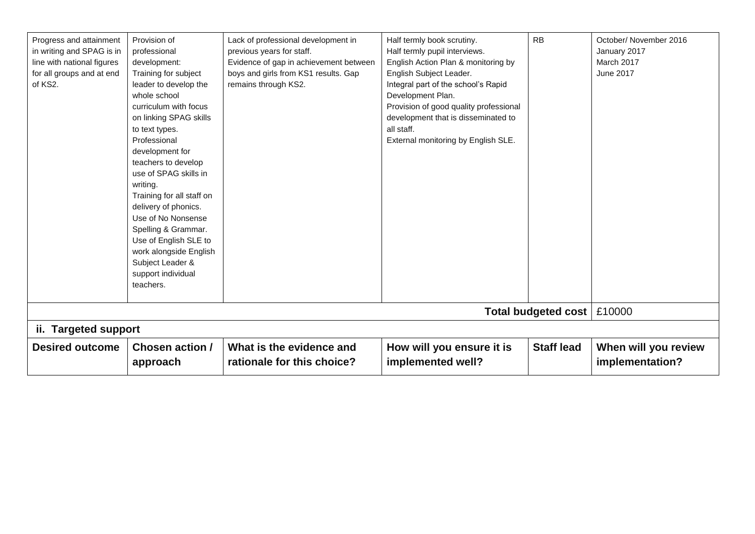| Progress and attainment<br>in writing and SPAG is in<br>line with national figures<br>for all groups and at end<br>of KS2. | Provision of<br>professional<br>development:<br>Training for subject<br>leader to develop the<br>whole school<br>curriculum with focus<br>on linking SPAG skills<br>to text types.<br>Professional<br>development for<br>teachers to develop<br>use of SPAG skills in<br>writing.<br>Training for all staff on<br>delivery of phonics.<br>Use of No Nonsense<br>Spelling & Grammar.<br>Use of English SLE to<br>work alongside English<br>Subject Leader &<br>support individual<br>teachers. | Lack of professional development in<br>previous years for staff.<br>Evidence of gap in achievement between<br>boys and girls from KS1 results. Gap<br>remains through KS2. | Half termly book scrutiny.<br>Half termly pupil interviews.<br>English Action Plan & monitoring by<br>English Subject Leader.<br>Integral part of the school's Rapid<br>Development Plan.<br>Provision of good quality professional<br>development that is disseminated to<br>all staff.<br>External monitoring by English SLE. | <b>RB</b>           | October/ November 2016<br>January 2017<br>March 2017<br><b>June 2017</b> |
|----------------------------------------------------------------------------------------------------------------------------|-----------------------------------------------------------------------------------------------------------------------------------------------------------------------------------------------------------------------------------------------------------------------------------------------------------------------------------------------------------------------------------------------------------------------------------------------------------------------------------------------|----------------------------------------------------------------------------------------------------------------------------------------------------------------------------|---------------------------------------------------------------------------------------------------------------------------------------------------------------------------------------------------------------------------------------------------------------------------------------------------------------------------------|---------------------|--------------------------------------------------------------------------|
|                                                                                                                            |                                                                                                                                                                                                                                                                                                                                                                                                                                                                                               |                                                                                                                                                                            |                                                                                                                                                                                                                                                                                                                                 | Total budgeted cost | £10000                                                                   |
| ii. Targeted support                                                                                                       |                                                                                                                                                                                                                                                                                                                                                                                                                                                                                               |                                                                                                                                                                            |                                                                                                                                                                                                                                                                                                                                 |                     |                                                                          |
| <b>Desired outcome</b>                                                                                                     | <b>Chosen action /</b><br>approach                                                                                                                                                                                                                                                                                                                                                                                                                                                            | What is the evidence and<br>rationale for this choice?                                                                                                                     | How will you ensure it is<br>implemented well?                                                                                                                                                                                                                                                                                  | <b>Staff lead</b>   | When will you review<br>implementation?                                  |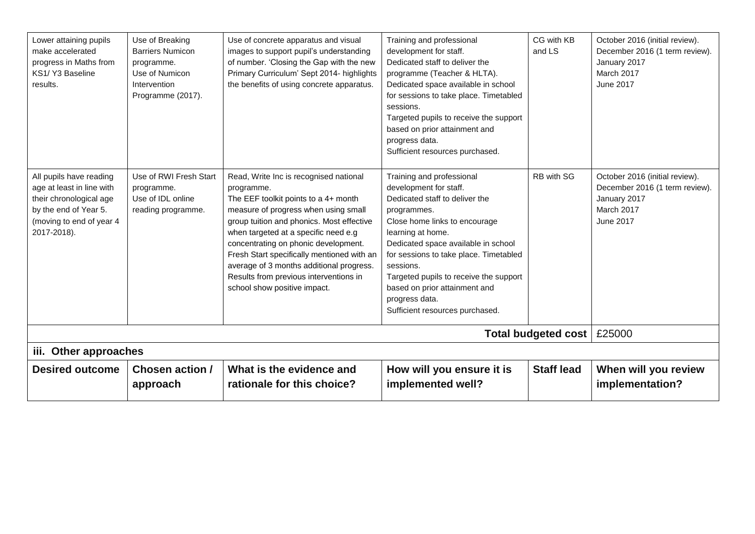| Lower attaining pupils<br>make accelerated<br>progress in Maths from<br>KS1/Y3 Baseline<br>results.                                                 | Use of Breaking<br><b>Barriers Numicon</b><br>programme.<br>Use of Numicon<br>Intervention<br>Programme (2017). | Use of concrete apparatus and visual<br>images to support pupil's understanding<br>of number. 'Closing the Gap with the new<br>Primary Curriculum' Sept 2014- highlights<br>the benefits of using concrete apparatus.                                                                                                                                                                                                                 | Training and professional<br>development for staff.<br>Dedicated staff to deliver the<br>programme (Teacher & HLTA).<br>Dedicated space available in school<br>for sessions to take place. Timetabled<br>sessions.<br>Targeted pupils to receive the support<br>based on prior attainment and<br>progress data.<br>Sufficient resources purchased.                                       | CG with KB<br>and LS | October 2016 (initial review).<br>December 2016 (1 term review).<br>January 2017<br>March 2017<br>June 2017 |
|-----------------------------------------------------------------------------------------------------------------------------------------------------|-----------------------------------------------------------------------------------------------------------------|---------------------------------------------------------------------------------------------------------------------------------------------------------------------------------------------------------------------------------------------------------------------------------------------------------------------------------------------------------------------------------------------------------------------------------------|------------------------------------------------------------------------------------------------------------------------------------------------------------------------------------------------------------------------------------------------------------------------------------------------------------------------------------------------------------------------------------------|----------------------|-------------------------------------------------------------------------------------------------------------|
| All pupils have reading<br>age at least in line with<br>their chronological age<br>by the end of Year 5.<br>(moving to end of year 4<br>2017-2018). | Use of RWI Fresh Start<br>programme.<br>Use of IDL online<br>reading programme.                                 | Read, Write Inc is recognised national<br>programme.<br>The EEF toolkit points to a 4+ month<br>measure of progress when using small<br>group tuition and phonics. Most effective<br>when targeted at a specific need e.g<br>concentrating on phonic development.<br>Fresh Start specifically mentioned with an<br>average of 3 months additional progress.<br>Results from previous interventions in<br>school show positive impact. | Training and professional<br>development for staff.<br>Dedicated staff to deliver the<br>programmes.<br>Close home links to encourage<br>learning at home.<br>Dedicated space available in school<br>for sessions to take place. Timetabled<br>sessions.<br>Targeted pupils to receive the support<br>based on prior attainment and<br>progress data.<br>Sufficient resources purchased. | RB with SG           | October 2016 (initial review).<br>December 2016 (1 term review).<br>January 2017<br>March 2017<br>June 2017 |
|                                                                                                                                                     | Total budgeted cost<br>£25000                                                                                   |                                                                                                                                                                                                                                                                                                                                                                                                                                       |                                                                                                                                                                                                                                                                                                                                                                                          |                      |                                                                                                             |
| iii. Other approaches                                                                                                                               |                                                                                                                 |                                                                                                                                                                                                                                                                                                                                                                                                                                       |                                                                                                                                                                                                                                                                                                                                                                                          |                      |                                                                                                             |
| <b>Desired outcome</b>                                                                                                                              | Chosen action /<br>approach                                                                                     | What is the evidence and<br>rationale for this choice?                                                                                                                                                                                                                                                                                                                                                                                | How will you ensure it is<br>implemented well?                                                                                                                                                                                                                                                                                                                                           | <b>Staff lead</b>    | When will you review<br>implementation?                                                                     |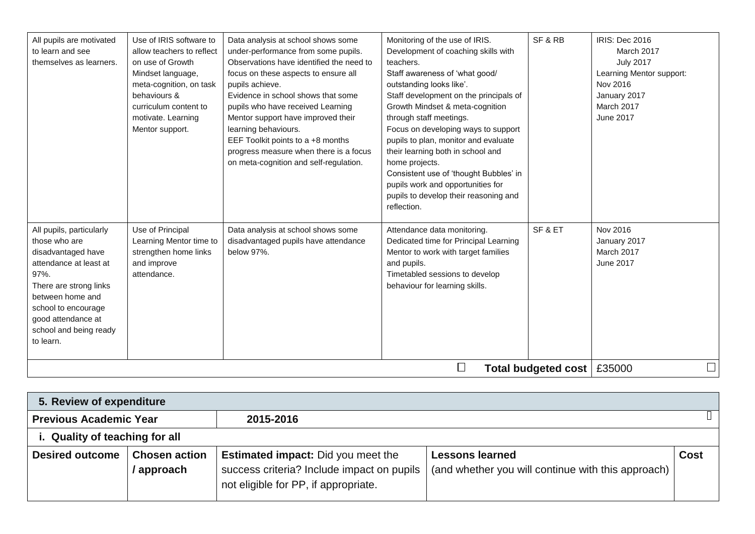| All pupils are motivated<br>to learn and see<br>themselves as learners.                                                                                                                                                             | Use of IRIS software to<br>allow teachers to reflect<br>on use of Growth<br>Mindset language,<br>meta-cognition, on task<br>behaviours &<br>curriculum content to<br>motivate. Learning<br>Mentor support. | Data analysis at school shows some<br>under-performance from some pupils.<br>Observations have identified the need to<br>focus on these aspects to ensure all<br>pupils achieve.<br>Evidence in school shows that some<br>pupils who have received Learning<br>Mentor support have improved their<br>learning behaviours.<br>EEF Toolkit points to a +8 months<br>progress measure when there is a focus<br>on meta-cognition and self-regulation. | Monitoring of the use of IRIS.<br>Development of coaching skills with<br>teachers.<br>Staff awareness of 'what good/<br>outstanding looks like'.<br>Staff development on the principals of<br>Growth Mindset & meta-cognition<br>through staff meetings.<br>Focus on developing ways to support<br>pupils to plan, monitor and evaluate<br>their learning both in school and<br>home projects.<br>Consistent use of 'thought Bubbles' in<br>pupils work and opportunities for<br>pupils to develop their reasoning and<br>reflection. | SF&RB                        | <b>IRIS: Dec 2016</b><br>March 2017<br><b>July 2017</b><br>Learning Mentor support:<br>Nov 2016<br>January 2017<br>March 2017<br>June 2017 |
|-------------------------------------------------------------------------------------------------------------------------------------------------------------------------------------------------------------------------------------|------------------------------------------------------------------------------------------------------------------------------------------------------------------------------------------------------------|----------------------------------------------------------------------------------------------------------------------------------------------------------------------------------------------------------------------------------------------------------------------------------------------------------------------------------------------------------------------------------------------------------------------------------------------------|---------------------------------------------------------------------------------------------------------------------------------------------------------------------------------------------------------------------------------------------------------------------------------------------------------------------------------------------------------------------------------------------------------------------------------------------------------------------------------------------------------------------------------------|------------------------------|--------------------------------------------------------------------------------------------------------------------------------------------|
| All pupils, particularly<br>those who are<br>disadvantaged have<br>attendance at least at<br>97%.<br>There are strong links<br>between home and<br>school to encourage<br>good attendance at<br>school and being ready<br>to learn. | Use of Principal<br>Learning Mentor time to<br>strengthen home links<br>and improve<br>attendance.                                                                                                         | Data analysis at school shows some<br>disadvantaged pupils have attendance<br>below 97%.                                                                                                                                                                                                                                                                                                                                                           | Attendance data monitoring.<br>Dedicated time for Principal Learning<br>Mentor to work with target families<br>and pupils.<br>Timetabled sessions to develop<br>behaviour for learning skills.                                                                                                                                                                                                                                                                                                                                        | SF&ET                        | Nov 2016<br>January 2017<br>March 2017<br>June 2017                                                                                        |
|                                                                                                                                                                                                                                     |                                                                                                                                                                                                            |                                                                                                                                                                                                                                                                                                                                                                                                                                                    | ⊔                                                                                                                                                                                                                                                                                                                                                                                                                                                                                                                                     | Total budgeted cost   £35000 |                                                                                                                                            |

| 5. Review of expenditure                   |                                    |                                                                                                                                 |                                                                              |             |  |  |  |
|--------------------------------------------|------------------------------------|---------------------------------------------------------------------------------------------------------------------------------|------------------------------------------------------------------------------|-------------|--|--|--|
| <b>Previous Academic Year</b><br>2015-2016 |                                    |                                                                                                                                 |                                                                              |             |  |  |  |
| i. Quality of teaching for all             |                                    |                                                                                                                                 |                                                                              |             |  |  |  |
| <b>Desired outcome</b>                     | <b>Chosen action</b><br>/ approach | <b>Estimated impact:</b> Did you meet the<br>success criteria? Include impact on pupils<br>not eligible for PP, if appropriate. | <b>Lessons learned</b><br>(and whether you will continue with this approach) | <b>Cost</b> |  |  |  |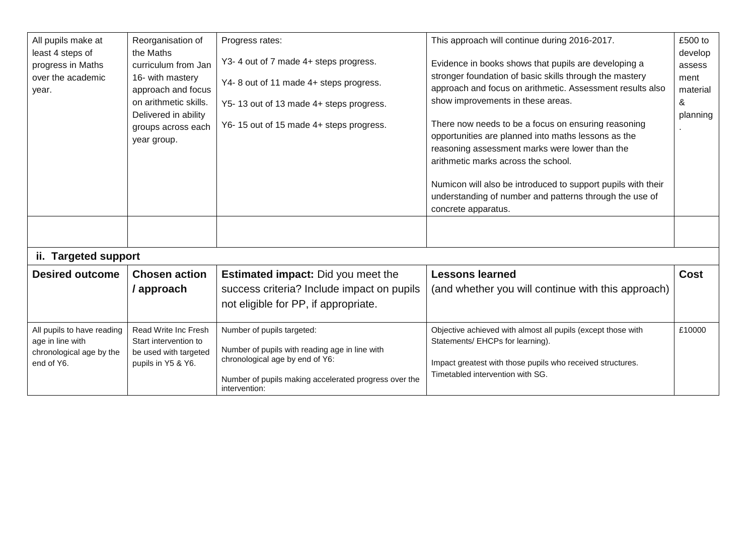| All pupils make at<br>least 4 steps of<br>progress in Maths<br>over the academic<br>year.<br>ii. Targeted support | Reorganisation of<br>the Maths<br>curriculum from Jan<br>16- with mastery<br>approach and focus<br>on arithmetic skills.<br>Delivered in ability<br>groups across each<br>year group. | Progress rates:<br>Y3-4 out of 7 made 4+ steps progress.<br>Y4-8 out of 11 made 4+ steps progress.<br>Y5-13 out of 13 made 4+ steps progress.<br>Y6-15 out of 15 made 4+ steps progress.  | This approach will continue during 2016-2017.<br>Evidence in books shows that pupils are developing a<br>stronger foundation of basic skills through the mastery<br>approach and focus on arithmetic. Assessment results also<br>show improvements in these areas.<br>There now needs to be a focus on ensuring reasoning<br>opportunities are planned into maths lessons as the<br>reasoning assessment marks were lower than the<br>arithmetic marks across the school.<br>Numicon will also be introduced to support pupils with their<br>understanding of number and patterns through the use of<br>concrete apparatus. | £500 to<br>develop<br>assess<br>ment<br>material<br>&<br>planning |
|-------------------------------------------------------------------------------------------------------------------|---------------------------------------------------------------------------------------------------------------------------------------------------------------------------------------|-------------------------------------------------------------------------------------------------------------------------------------------------------------------------------------------|-----------------------------------------------------------------------------------------------------------------------------------------------------------------------------------------------------------------------------------------------------------------------------------------------------------------------------------------------------------------------------------------------------------------------------------------------------------------------------------------------------------------------------------------------------------------------------------------------------------------------------|-------------------------------------------------------------------|
| <b>Desired outcome</b>                                                                                            | <b>Chosen action</b>                                                                                                                                                                  | <b>Estimated impact:</b> Did you meet the                                                                                                                                                 | <b>Lessons learned</b>                                                                                                                                                                                                                                                                                                                                                                                                                                                                                                                                                                                                      | <b>Cost</b>                                                       |
|                                                                                                                   | / approach                                                                                                                                                                            | success criteria? Include impact on pupils<br>not eligible for PP, if appropriate.                                                                                                        | (and whether you will continue with this approach)                                                                                                                                                                                                                                                                                                                                                                                                                                                                                                                                                                          |                                                                   |
| All pupils to have reading<br>age in line with<br>chronological age by the<br>end of Y6.                          | Read Write Inc Fresh<br>Start intervention to<br>be used with targeted<br>pupils in Y5 & Y6.                                                                                          | Number of pupils targeted:<br>Number of pupils with reading age in line with<br>chronological age by end of Y6:<br>Number of pupils making accelerated progress over the<br>intervention: | Objective achieved with almost all pupils (except those with<br>Statements/ EHCPs for learning).<br>Impact greatest with those pupils who received structures.<br>Timetabled intervention with SG.                                                                                                                                                                                                                                                                                                                                                                                                                          | £10000                                                            |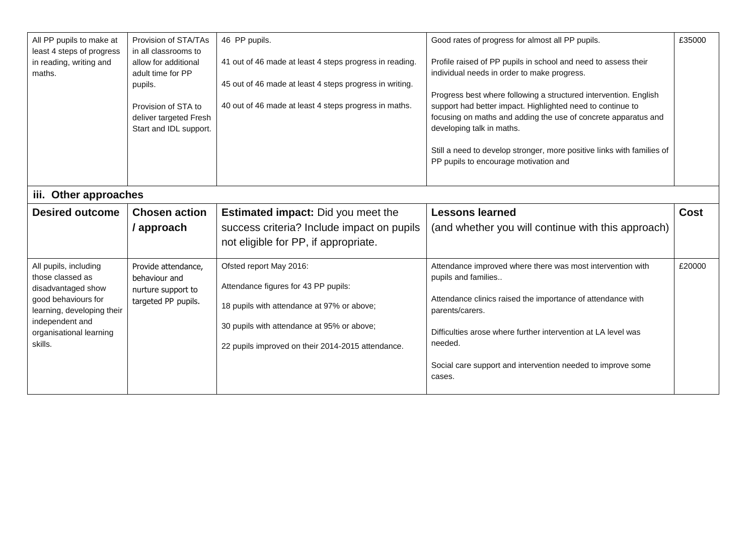| All PP pupils to make at<br>least 4 steps of progress<br>in reading, writing and<br>maths.                                                                                    | Provision of STA/TAs<br>in all classrooms to<br>allow for additional<br>adult time for PP<br>pupils.<br>Provision of STA to<br>deliver targeted Fresh<br>Start and IDL support. | 46 PP pupils.<br>Good rates of progress for almost all PP pupils.<br>Profile raised of PP pupils in school and need to assess their<br>41 out of 46 made at least 4 steps progress in reading.<br>individual needs in order to make progress.<br>45 out of 46 made at least 4 steps progress in writing.<br>Progress best where following a structured intervention. English<br>40 out of 46 made at least 4 steps progress in maths.<br>support had better impact. Highlighted need to continue to<br>focusing on maths and adding the use of concrete apparatus and<br>developing talk in maths. |                                                                                                                                                                                                                                                                                                                          | £35000 |
|-------------------------------------------------------------------------------------------------------------------------------------------------------------------------------|---------------------------------------------------------------------------------------------------------------------------------------------------------------------------------|----------------------------------------------------------------------------------------------------------------------------------------------------------------------------------------------------------------------------------------------------------------------------------------------------------------------------------------------------------------------------------------------------------------------------------------------------------------------------------------------------------------------------------------------------------------------------------------------------|--------------------------------------------------------------------------------------------------------------------------------------------------------------------------------------------------------------------------------------------------------------------------------------------------------------------------|--------|
|                                                                                                                                                                               |                                                                                                                                                                                 |                                                                                                                                                                                                                                                                                                                                                                                                                                                                                                                                                                                                    | Still a need to develop stronger, more positive links with families of<br>PP pupils to encourage motivation and                                                                                                                                                                                                          |        |
| iii. Other approaches                                                                                                                                                         |                                                                                                                                                                                 |                                                                                                                                                                                                                                                                                                                                                                                                                                                                                                                                                                                                    |                                                                                                                                                                                                                                                                                                                          |        |
| <b>Desired outcome</b>                                                                                                                                                        | <b>Chosen action</b><br>/ approach                                                                                                                                              | <b>Estimated impact:</b> Did you meet the<br>success criteria? Include impact on pupils<br>not eligible for PP, if appropriate.                                                                                                                                                                                                                                                                                                                                                                                                                                                                    | <b>Lessons learned</b><br>(and whether you will continue with this approach)                                                                                                                                                                                                                                             | Cost   |
| All pupils, including<br>those classed as<br>disadvantaged show<br>good behaviours for<br>learning, developing their<br>independent and<br>organisational learning<br>skills. | Provide attendance,<br>behaviour and<br>nurture support to<br>targeted PP pupils.                                                                                               | Ofsted report May 2016:<br>Attendance figures for 43 PP pupils:<br>18 pupils with attendance at 97% or above;<br>30 pupils with attendance at 95% or above;<br>22 pupils improved on their 2014-2015 attendance.                                                                                                                                                                                                                                                                                                                                                                                   | Attendance improved where there was most intervention with<br>pupils and families<br>Attendance clinics raised the importance of attendance with<br>parents/carers.<br>Difficulties arose where further intervention at LA level was<br>needed.<br>Social care support and intervention needed to improve some<br>cases. | £20000 |